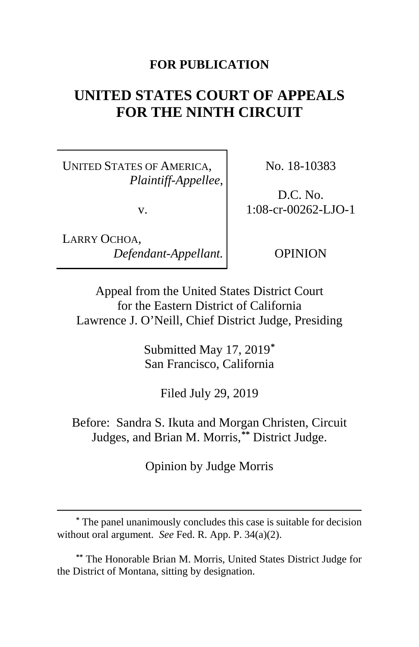#### **FOR PUBLICATION**

# **UNITED STATES COURT OF APPEALS FOR THE NINTH CIRCUIT**

UNITED STATES OF AMERICA, *Plaintiff-Appellee*,

v.

LARRY OCHOA, *Defendant-Appellant.*

 $\overline{a}$ 

No. 18-10383

D.C. No. 1:08-cr-00262-LJO-1

OPINION

Appeal from the United States District Court for the Eastern District of California Lawrence J. O'Neill, Chief District Judge, Presiding

> Submitted May 17, 2019**[\\*](#page-0-0)** San Francisco, California

> > Filed July 29, 2019

Before: Sandra S. Ikuta and Morgan Christen, Circuit Judges, and Brian M. Morris,**[\\*\\*](#page-0-1)** District Judge.

Opinion by Judge Morris

<span id="page-0-1"></span>**\*\*** The Honorable Brian M. Morris, United States District Judge for the District of Montana, sitting by designation.

<span id="page-0-0"></span>**<sup>\*</sup>** The panel unanimously concludes this case is suitable for decision without oral argument. *See* Fed. R. App. P. 34(a)(2).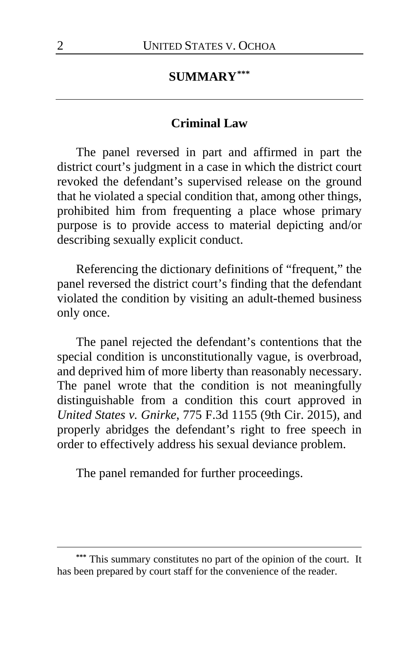#### **SUMMARY[\\*\\*\\*](#page-1-0)**

#### **Criminal Law**

The panel reversed in part and affirmed in part the district court's judgment in a case in which the district court revoked the defendant's supervised release on the ground that he violated a special condition that, among other things, prohibited him from frequenting a place whose primary purpose is to provide access to material depicting and/or describing sexually explicit conduct.

Referencing the dictionary definitions of "frequent," the panel reversed the district court's finding that the defendant violated the condition by visiting an adult-themed business only once.

The panel rejected the defendant's contentions that the special condition is unconstitutionally vague, is overbroad, and deprived him of more liberty than reasonably necessary. The panel wrote that the condition is not meaningfully distinguishable from a condition this court approved in *United States v. Gnirke*, 775 F.3d 1155 (9th Cir. 2015), and properly abridges the defendant's right to free speech in order to effectively address his sexual deviance problem.

The panel remanded for further proceedings.

 $\overline{a}$ 

<span id="page-1-0"></span>**<sup>\*\*\*</sup>** This summary constitutes no part of the opinion of the court. It has been prepared by court staff for the convenience of the reader.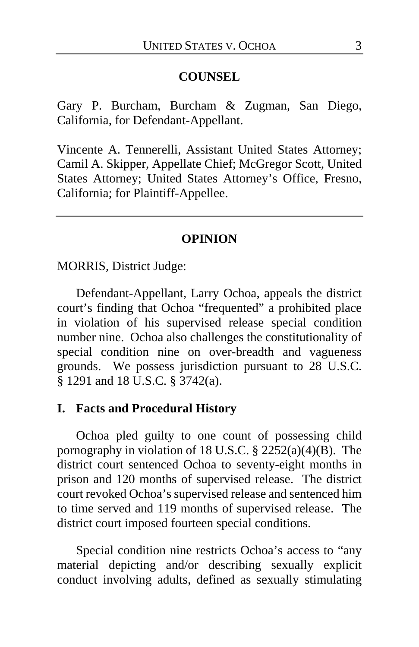#### **COUNSEL**

Gary P. Burcham, Burcham & Zugman, San Diego, California, for Defendant-Appellant.

Vincente A. Tennerelli, Assistant United States Attorney; Camil A. Skipper, Appellate Chief; McGregor Scott, United States Attorney; United States Attorney's Office, Fresno, California; for Plaintiff-Appellee.

#### **OPINION**

MORRIS, District Judge:

Defendant-Appellant, Larry Ochoa, appeals the district court's finding that Ochoa "frequented" a prohibited place in violation of his supervised release special condition number nine. Ochoa also challenges the constitutionality of special condition nine on over-breadth and vagueness grounds. We possess jurisdiction pursuant to 28 U.S.C. § 1291 and 18 U.S.C. § 3742(a).

#### **I. Facts and Procedural History**

Ochoa pled guilty to one count of possessing child pornography in violation of 18 U.S.C. § 2252(a)(4)(B). The district court sentenced Ochoa to seventy-eight months in prison and 120 months of supervised release. The district court revoked Ochoa's supervised release and sentenced him to time served and 119 months of supervised release. The district court imposed fourteen special conditions.

Special condition nine restricts Ochoa's access to "any material depicting and/or describing sexually explicit conduct involving adults, defined as sexually stimulating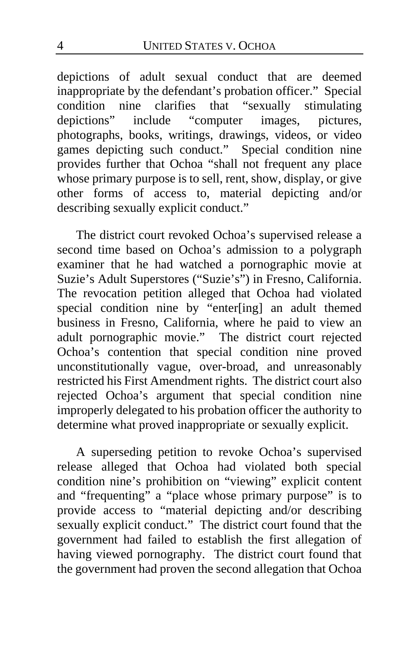depictions of adult sexual conduct that are deemed inappropriate by the defendant's probation officer." Special condition nine clarifies that "sexually stimulating depictions" include "computer images, pictures, photographs, books, writings, drawings, videos, or video games depicting such conduct." Special condition nine provides further that Ochoa "shall not frequent any place whose primary purpose is to sell, rent, show, display, or give other forms of access to, material depicting and/or describing sexually explicit conduct."

The district court revoked Ochoa's supervised release a second time based on Ochoa's admission to a polygraph examiner that he had watched a pornographic movie at Suzie's Adult Superstores ("Suzie's") in Fresno, California. The revocation petition alleged that Ochoa had violated special condition nine by "enter[ing] an adult themed business in Fresno, California, where he paid to view an adult pornographic movie." The district court rejected Ochoa's contention that special condition nine proved unconstitutionally vague, over-broad, and unreasonably restricted his First Amendment rights. The district court also rejected Ochoa's argument that special condition nine improperly delegated to his probation officer the authority to determine what proved inappropriate or sexually explicit.

A superseding petition to revoke Ochoa's supervised release alleged that Ochoa had violated both special condition nine's prohibition on "viewing" explicit content and "frequenting" a "place whose primary purpose" is to provide access to "material depicting and/or describing sexually explicit conduct." The district court found that the government had failed to establish the first allegation of having viewed pornography. The district court found that the government had proven the second allegation that Ochoa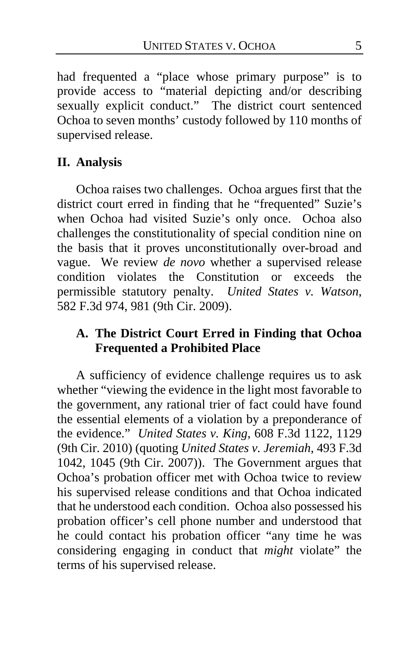had frequented a "place whose primary purpose" is to provide access to "material depicting and/or describing sexually explicit conduct." The district court sentenced Ochoa to seven months' custody followed by 110 months of supervised release.

### **II. Analysis**

Ochoa raises two challenges. Ochoa argues first that the district court erred in finding that he "frequented" Suzie's when Ochoa had visited Suzie's only once. Ochoa also challenges the constitutionality of special condition nine on the basis that it proves unconstitutionally over-broad and vague. We review *de novo* whether a supervised release condition violates the Constitution or exceeds the permissible statutory penalty. *United States v. Watson*, 582 F.3d 974, 981 (9th Cir. 2009).

### **A. The District Court Erred in Finding that Ochoa Frequented a Prohibited Place**

A sufficiency of evidence challenge requires us to ask whether "viewing the evidence in the light most favorable to the government, any rational trier of fact could have found the essential elements of a violation by a preponderance of the evidence." *United States v. King*, 608 F.3d 1122, 1129 (9th Cir. 2010) (quoting *United States v. Jeremiah*, 493 F.3d 1042, 1045 (9th Cir. 2007)). The Government argues that Ochoa's probation officer met with Ochoa twice to review his supervised release conditions and that Ochoa indicated that he understood each condition. Ochoa also possessed his probation officer's cell phone number and understood that he could contact his probation officer "any time he was considering engaging in conduct that *might* violate" the terms of his supervised release.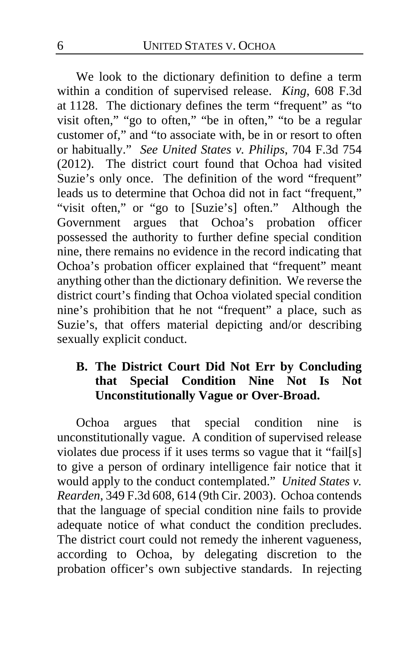We look to the dictionary definition to define a term within a condition of supervised release. *King*, 608 F.3d at 1128. The dictionary defines the term "frequent" as "to visit often," "go to often," "be in often," "to be a regular customer of," and "to associate with, be in or resort to often or habitually." *See United States v. Philips*, 704 F.3d 754 (2012). The district court found that Ochoa had visited Suzie's only once. The definition of the word "frequent" leads us to determine that Ochoa did not in fact "frequent," "visit often," or "go to [Suzie's] often." Although the Government argues that Ochoa's probation officer possessed the authority to further define special condition nine, there remains no evidence in the record indicating that Ochoa's probation officer explained that "frequent" meant anything other than the dictionary definition. We reverse the district court's finding that Ochoa violated special condition nine's prohibition that he not "frequent" a place, such as Suzie's, that offers material depicting and/or describing sexually explicit conduct.

### **B. The District Court Did Not Err by Concluding that Special Condition Nine Not Is Not Unconstitutionally Vague or Over-Broad.**

Ochoa argues that special condition nine is unconstitutionally vague. A condition of supervised release violates due process if it uses terms so vague that it "fail[s] to give a person of ordinary intelligence fair notice that it would apply to the conduct contemplated." *United States v. Rearden*, 349 F.3d 608, 614 (9th Cir. 2003). Ochoa contends that the language of special condition nine fails to provide adequate notice of what conduct the condition precludes. The district court could not remedy the inherent vagueness, according to Ochoa, by delegating discretion to the probation officer's own subjective standards. In rejecting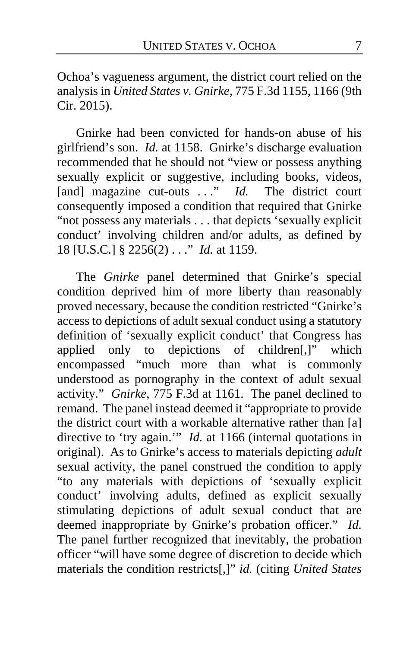Ochoa's vagueness argument, the district court relied on the analysis in *United States v. Gnirke*, 775 F.3d 1155, 1166 (9th Cir. 2015).

Gnirke had been convicted for hands-on abuse of his girlfriend's son. *Id.* at 1158. Gnirke's discharge evaluation recommended that he should not "view or possess anything sexually explicit or suggestive, including books, videos, [and] magazine cut-outs ..." *Id.* The district court consequently imposed a condition that required that Gnirke "not possess any materials . . . that depicts 'sexually explicit conduct' involving children and/or adults, as defined by 18 [U.S.C.] § 2256(2) . . ." *Id.* at 1159.

The *Gnirke* panel determined that Gnirke's special condition deprived him of more liberty than reasonably proved necessary, because the condition restricted "Gnirke's access to depictions of adult sexual conduct using a statutory definition of 'sexually explicit conduct' that Congress has applied only to depictions of children[,]" which encompassed "much more than what is commonly understood as pornography in the context of adult sexual activity." *Gnirke*, 775 F.3d at 1161. The panel declined to remand. The panel instead deemed it "appropriate to provide the district court with a workable alternative rather than [a] directive to 'try again.'" *Id.* at 1166 (internal quotations in original). As to Gnirke's access to materials depicting *adult* sexual activity, the panel construed the condition to apply "to any materials with depictions of 'sexually explicit conduct' involving adults, defined as explicit sexually stimulating depictions of adult sexual conduct that are deemed inappropriate by Gnirke's probation officer." *Id.*  The panel further recognized that inevitably, the probation officer "will have some degree of discretion to decide which materials the condition restricts[,]" *id.* (citing *United States*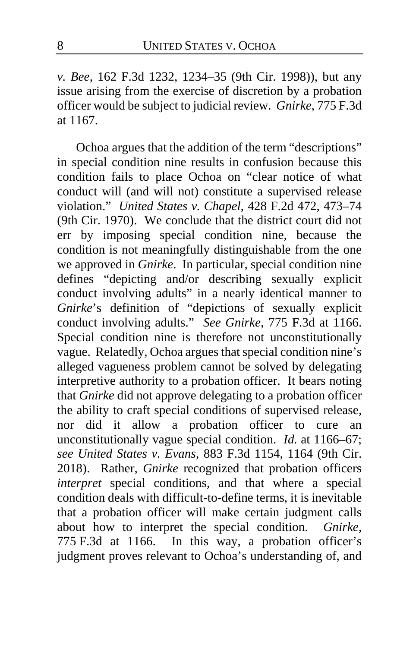*v. Bee*, 162 F.3d 1232, 1234–35 (9th Cir. 1998)), but any issue arising from the exercise of discretion by a probation officer would be subject to judicial review. *Gnirke*, 775 F.3d at 1167.

Ochoa argues that the addition of the term "descriptions" in special condition nine results in confusion because this condition fails to place Ochoa on "clear notice of what conduct will (and will not) constitute a supervised release violation." *United States v. Chapel*, 428 F.2d 472, 473–74 (9th Cir. 1970). We conclude that the district court did not err by imposing special condition nine, because the condition is not meaningfully distinguishable from the one we approved in *Gnirke*. In particular, special condition nine defines "depicting and/or describing sexually explicit conduct involving adults" in a nearly identical manner to *Gnirke*'s definition of "depictions of sexually explicit conduct involving adults." *See Gnirke*, 775 F.3d at 1166. Special condition nine is therefore not unconstitutionally vague. Relatedly, Ochoa argues that special condition nine's alleged vagueness problem cannot be solved by delegating interpretive authority to a probation officer. It bears noting that *Gnirke* did not approve delegating to a probation officer the ability to craft special conditions of supervised release, nor did it allow a probation officer to cure an unconstitutionally vague special condition. *Id.* at 1166–67; *see United States v. Evans*, 883 F.3d 1154, 1164 (9th Cir. 2018). Rather, *Gnirke* recognized that probation officers *interpret* special conditions, and that where a special condition deals with difficult-to-define terms, it is inevitable that a probation officer will make certain judgment calls about how to interpret the special condition. *Gnirke*, 775 F.3d at 1166. In this way, a probation officer's judgment proves relevant to Ochoa's understanding of, and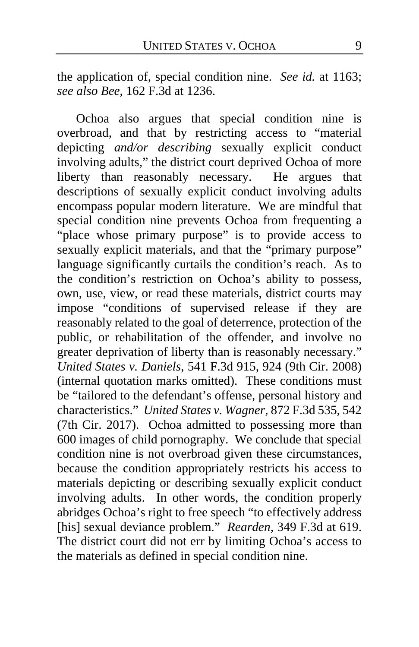the application of, special condition nine. *See id.* at 1163; *see also Bee*, 162 F.3d at 1236.

Ochoa also argues that special condition nine is overbroad, and that by restricting access to "material depicting *and/or describing* sexually explicit conduct involving adults," the district court deprived Ochoa of more<br>liberty than reasonably necessary. He argues that liberty than reasonably necessary. descriptions of sexually explicit conduct involving adults encompass popular modern literature. We are mindful that special condition nine prevents Ochoa from frequenting a "place whose primary purpose" is to provide access to sexually explicit materials, and that the "primary purpose" language significantly curtails the condition's reach. As to the condition's restriction on Ochoa's ability to possess, own, use, view, or read these materials, district courts may impose "conditions of supervised release if they are reasonably related to the goal of deterrence, protection of the public, or rehabilitation of the offender, and involve no greater deprivation of liberty than is reasonably necessary." *United States v. Daniels*, 541 F.3d 915, 924 (9th Cir. 2008) (internal quotation marks omitted). These conditions must be "tailored to the defendant's offense, personal history and characteristics." *United States v. Wagner*, 872 F.3d 535, 542 (7th Cir. 2017). Ochoa admitted to possessing more than 600 images of child pornography. We conclude that special condition nine is not overbroad given these circumstances, because the condition appropriately restricts his access to materials depicting or describing sexually explicit conduct involving adults. In other words, the condition properly abridges Ochoa's right to free speech "to effectively address [his] sexual deviance problem." *Rearden*, 349 F.3d at 619. The district court did not err by limiting Ochoa's access to the materials as defined in special condition nine.